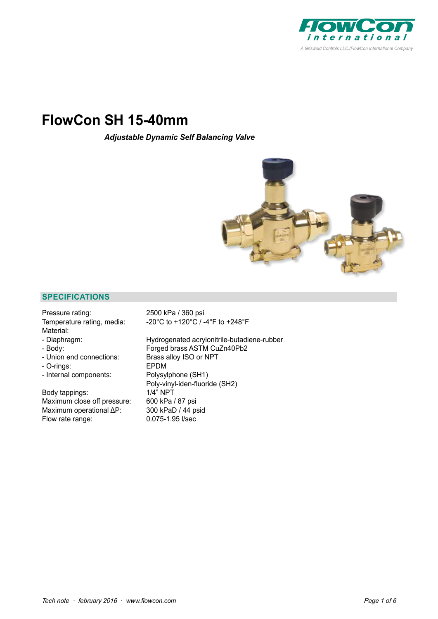

# **FlowCon SH 15-40mm**

*Adjustable Dynamic Self Balancing Valve*



#### **SPECIFICATIONS**

Pressure rating: 2500 kPa / 360 psi Material:

- 
- 
- 
- O-rings:
- 

Body tappings:  $1/4$ <sup>"</sup> NPT Maximum close off pressure: 600 kPa / 87 psi Maximum operational ΔP: 300 kPaD / 44 psid Flow rate range: 0.075-1.95 l/sec

Temperature rating, media: -20°C to +120°C / -4°F to +248°F

- Diaphragm: Hydrogenated acrylonitrile-butadiene-rubber - Body: Forged brass ASTM CuZn40Pb2 - Union end connections: Brass alloy ISO or NPT<br>- O-rings: EPDM - Internal components: Polysylphone (SH1) Poly-vinyl-iden-fluoride (SH2)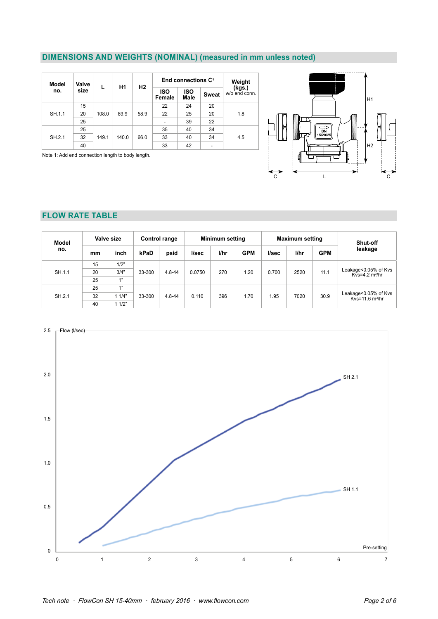# **DIMENSIONS AND WEIGHTS (NOMINAL) (measured in mm unless noted)**

| Model  | Valve |       | Η1    |      | End connections C <sup>1</sup> | Weight             |              |                         |    |    |    |    |  |  |
|--------|-------|-------|-------|------|--------------------------------|--------------------|--------------|-------------------------|----|----|----|----|--|--|
| no.    | size  |       |       | H2   | <b>ISO</b><br>Female           | <b>ISO</b><br>Male | <b>Sweat</b> | (kgs.)<br>w/o end conn. |    |    |    |    |  |  |
|        | 15    |       |       |      |                                |                    |              | 22                      | 24 | 20 |    |    |  |  |
| SH.1.1 | 20    | 108.0 | 89.9  | 58.9 | 22                             | 25                 | 20           | 1.8                     |    |    |    |    |  |  |
|        | 25    |       |       |      |                                |                    |              | ٠                       | 39 | 22 |    |    |  |  |
|        | 25    |       |       |      |                                | 35                 | 40           | 34                      |    |    |    |    |  |  |
| SH.2.1 | 32    | 149.1 | 140.0 | 66.0 | 33                             | 40                 | 34           | 4.5                     |    |    |    |    |  |  |
|        | 40    |       |       |      |                                |                    |              |                         |    |    | 33 | 42 |  |  |

Note 1: Add end connection length to body length.



# **FLOW RATE TABLE**

| <b>Model</b> |                                                                     | Valve size   |        | Control range                                             |        | <b>Minimum setting</b> |            |       | <b>Maximum setting</b> | Shut-off   |                                                    |  |
|--------------|---------------------------------------------------------------------|--------------|--------|-----------------------------------------------------------|--------|------------------------|------------|-------|------------------------|------------|----------------------------------------------------|--|
| no.          | mm                                                                  | inch         | kPaD   | psid                                                      | l/sec  | l/hr                   | <b>GPM</b> | l/sec | l/hr                   | <b>GPM</b> | leakage                                            |  |
|              | 15                                                                  | 1/2"         |        |                                                           |        |                        |            |       |                        |            | Leakage<0.05% of Kvs<br>Kvs=4.2 m <sup>3</sup> /hr |  |
| SH.1.1       | 20                                                                  | 3/4"         | 33-300 | $4.8 - 44$                                                | 0.0750 | 270                    | 1.20       | 0.700 | 2520                   | 11.1       |                                                    |  |
|              | 25                                                                  | 1"           |        |                                                           |        |                        |            |       |                        |            |                                                    |  |
|              | 25                                                                  | 1"           |        |                                                           |        |                        |            |       |                        |            |                                                    |  |
| SH.2.1       | 32<br>396<br>11/4"<br>33-300<br>0.110<br>1.70<br>1.95<br>$4.8 - 44$ | 30.9<br>7020 |        | Leakage<0.05% of Kvs<br>$Kv = 11.6 \text{ m}^3/\text{hr}$ |        |                        |            |       |                        |            |                                                    |  |
|              | 40                                                                  | 11/2"        |        |                                                           |        |                        |            |       |                        |            |                                                    |  |

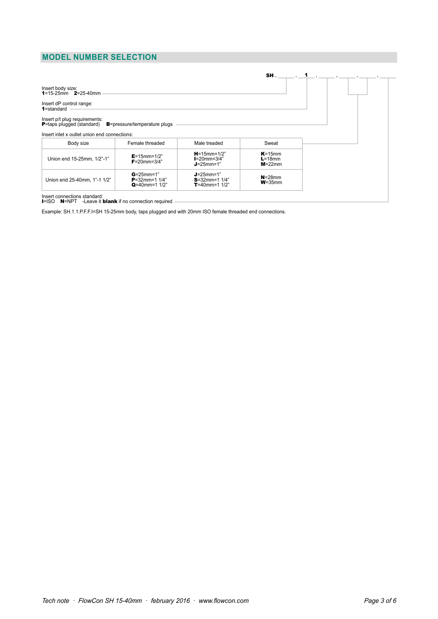# **MODEL NUMBER SELECTION**

|                                                                    |                                                            |                                                            | SH.                                       |
|--------------------------------------------------------------------|------------------------------------------------------------|------------------------------------------------------------|-------------------------------------------|
| Insert body size:<br>1=15-25mm $2=25-40$ mm                        |                                                            |                                                            |                                           |
| Insert dP control range:<br>1=standard                             |                                                            |                                                            |                                           |
| Insert p/t plug requirements:<br><b>P</b> =taps plugged (standard) | <b>B</b> =pressure/temperature plugs                       |                                                            |                                           |
| Insert inlet x outlet union end connections:                       |                                                            |                                                            |                                           |
| Body size                                                          | Female threaded                                            | Male treaded                                               | Sweat                                     |
| Union end 15-25mm, 1/2"-1"                                         | $E = 15$ mm= $1/2"$<br>$F = 20$ mm= $3/4"$                 | $H = 15$ mm= $1/2"$<br>$I=20$ mm=3/4"<br>$J = 25$ mm=1"    | $K = 15$ mm<br>$L = 18$ mm<br>$M = 22$ mm |
| Union end 25-40mm, 1"-1 1/2"                                       | $G = 25$ mm=1<br>$P = 32$ mm=1 1/4"<br>$Q = 40$ mm=1 $1/2$ | $J = 25$ mm=1"<br>$S = 32$ mm=1 1/4"<br>$T = 40$ mm=1 1/2" | $N = 28$ mm<br>$W = 35$ mm                |

### Insert connections standard:<br>**I**=ISO **N**=NPT -Leave it *b*Iank if no connection required

Example: SH.1.1.P.F.F.I=SH 15-25mm body, taps plugged and with 20mm ISO female threaded end connections.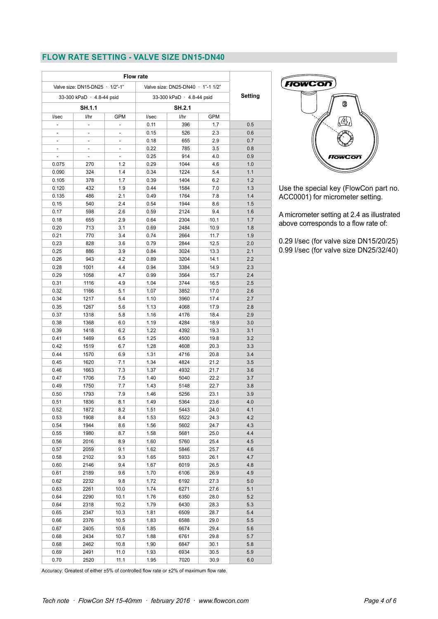# **FLOW RATE SETTING - VALVE SIZE DN15-DN40**

|            | <b>Flow rate</b><br>Valve size: DN25-DN40 · 1"-1 1/2" |              | Valve size: DN15-DN25 · 1/2"-1" |                |                           |                          |
|------------|-------------------------------------------------------|--------------|---------------------------------|----------------|---------------------------|--------------------------|
| Setting    | 33-300 kPaD · 4.8-44 psid                             |              |                                 |                |                           |                          |
|            |                                                       |              |                                 |                | 33-300 kPaD · 4.8-44 psid |                          |
|            |                                                       | SH.2.1       |                                 |                | <b>SH.1.1</b>             |                          |
|            | <b>GPM</b>                                            | l/hr         | l/sec                           | GPM            | 1/hr                      | l/sec                    |
| 0.5        | 1.7                                                   | 396          | 0.11                            |                |                           |                          |
| 0.6        | 2.3                                                   | 526          | 0.15                            | $\overline{a}$ | $\overline{\phantom{0}}$  | $\overline{\phantom{0}}$ |
| 0.7        | 2.9                                                   | 655          | 0.18                            | $\overline{a}$ | $\overline{\phantom{m}}$  |                          |
| 0.8        | 3.5                                                   | 785          | 0.22                            | -              | $\overline{\phantom{0}}$  |                          |
| 0.9        | 4.0                                                   | 914          | 0.25                            |                |                           |                          |
| 1.0        | 4.6                                                   | 1044         | 0.29                            | 1.2            | 270                       | 0.075                    |
| 1.1        | 5.4                                                   | 1224         | 0.34                            | 1.4            | 324                       | 0.090                    |
| 1.2<br>1.3 | 6.2<br>7.0                                            | 1404         | 0.39<br>0.44                    | 1.7<br>1.9     | 378<br>432                | 0.105                    |
| 1.4        | 7.8                                                   | 1584<br>1764 | 0.49                            | 2.1            | 486                       | 0.120                    |
|            |                                                       |              |                                 |                |                           | 0.135                    |
| 1.5        | 8.6<br>9.4                                            | 1944<br>2124 | 0.54                            | 2.4<br>2.6     | 540                       | 0.15<br>0.17             |
| 1.6<br>1.7 |                                                       | 2304         | 0.59                            |                | 598                       |                          |
|            | 10.1                                                  | 2484         | 0.64                            | 2.9            | 655                       | 0.18                     |
| 1.8<br>1.9 | 10.9                                                  | 2664         | 0.69                            | 3.1            | 713                       | 0.20                     |
|            | 11.7                                                  |              | 0.74                            | 3.4<br>3.6     | 770                       | 0.21                     |
| 2.0<br>2.1 | 12.5<br>13.3                                          | 2844<br>3024 | 0.79<br>0.84                    | 3.9            | 828<br>886                | 0.23<br>0.25             |
| 2.2        | 14.1                                                  | 3204         | 0.89                            | 4.2            | 943                       | 0.26                     |
| 2.3        | 14.9                                                  | 3384         | 0.94                            | 4.4            | 1001                      | 0.28                     |
| 2.4        | 15.7                                                  | 3564         | 0.99                            | 4.7            | 1058                      | 0.29                     |
| 2.5        | 16.5                                                  | 3744         | 1.04                            | 4.9            | 1116                      | 0.31                     |
| 2.6        | 17.0                                                  | 3852         | 1.07                            | 5.1            | 1166                      | 0.32                     |
| 2.7        | 17.4                                                  | 3960         | 1.10                            | 5.4            | 1217                      | 0.34                     |
| 2.8        | 17.9                                                  | 4068         | 1.13                            | 5.6            | 1267                      | 0.35                     |
| 2.9        | 18.4                                                  | 4176         | 1.16                            | 5.8            | 1318                      | 0.37                     |
| 3.0        | 18.9                                                  | 4284         | 1.19                            | 6.0            | 1368                      | 0.38                     |
| 3.1        | 19.3                                                  | 4392         | 1.22                            | 6.2            | 1418                      | 0.39                     |
| 3.2        | 19.8                                                  | 4500         | 1.25                            | 6.5            | 1469                      | 0.41                     |
| 3.3        | 20.3                                                  | 4608         | 1.28                            | 6.7            | 1519                      | 0.42                     |
| 3.4        | 20.8                                                  | 4716         | 1.31                            | 6.9            | 1570                      | 0.44                     |
| 3.5        | 21.2                                                  | 4824         | 1.34                            | 7.1            | 1620                      | 0.45                     |
| 3.6        | 21.7                                                  | 4932         | 1.37                            | 7.3            | 1663                      | 0.46                     |
| 3.7        | 22.2                                                  | 5040         | 1.40                            | 7.5            | 1706                      | 0.47                     |
| 3.8        | 22.7                                                  | 5148         | 1.43                            | 7.7            | 1750                      | 0.49                     |
| 3.9        | 23.1                                                  | 5256         | 1.46                            | 7.9            | 1793                      | 0.50                     |
| 4.0        | 23.6                                                  | 5364         | 1.49                            | 8.1            | 1836                      | 0.51                     |
| 4.1        | 24.0                                                  | 5443         | 1.51                            | 8.2            | 1872                      | 0.52                     |
| 4.2        | 24.3                                                  | 5522         | 1.53                            | 8.4            | 1908                      | 0.53                     |
| 4.3        | 24.7                                                  | 5602         | 1.56                            | 8.6            | 1944                      | 0.54                     |
| 4.4        | 25.0                                                  | 5681         | 1.58                            | 8.7            | 1980                      | 0.55                     |
| 4.5        | 25.4                                                  | 5760         | 1.60                            | 8.9            | 2016                      | 0.56                     |
| 4.6        | 25.7                                                  | 5846         | 1.62                            | 9.1            | 2059                      | 0.57                     |
| 4.7        | 26.1                                                  | 5933         | 1.65                            | 9.3            | 2102                      | 0.58                     |
| 4.8        | 26.5                                                  | 6019         | 1.67                            | 9.4            | 2146                      | 0.60                     |
| 4.9        | 26.9                                                  | 6106         | 1.70                            | 9.6            | 2189                      | 0.61                     |
| 5.0        | 27.3                                                  | 6192         | 1.72                            | 9.8            | 2232                      | 0.62                     |
| 5.1        | 27.6                                                  | 6271         | 1.74                            | 10.0           | 2261                      | 0.63                     |
| 5.2        | 28.0                                                  | 6350         | 1.76                            | 10.1           | 2290                      | 0.64                     |
| 5.3        | 28.3                                                  | 6430         | 1.79                            | 10.2           | 2318                      | 0.64                     |
| 5.4        | 28.7                                                  | 6509         | 1.81                            | 10.3           | 2347                      | 0.65                     |
| 5.5        | 29.0                                                  | 6588         | 1.83                            | 10.5           | 2376                      | 0.66                     |
| 5.6        | 29.4                                                  | 6674         | 1.85                            | 10.6           | 2405                      | 0.67                     |
| 5.7        | 29.8                                                  | 6761         | 1.88                            | 10.7           | 2434                      | 0.68                     |
| 5.8        | 30.1                                                  | 6847         | 1.90                            | 10.8           | 2462                      | 0.68                     |
| 5.9        | 30.5                                                  | 6934         | 1.93                            | 11.0           | 2491                      | 0.69                     |
| 6.0        | 30.9                                                  | 7020         | 1.95                            | 11.1           | 2520                      | 0.70                     |
|            |                                                       |              |                                 |                |                           |                          |



Use the special key (FlowCon part no. ACC0001) for micrometer setting.

A micrometer setting at 2.4 as illustrated above corresponds to a flow rate of:

0.29 l/sec (for valve size DN15/20/25) 0.99 l/sec (for valve size DN25/32/40)

Accuracy: Greatest of either ±5% of controlled flow rate or ±2% of maximum flow rate.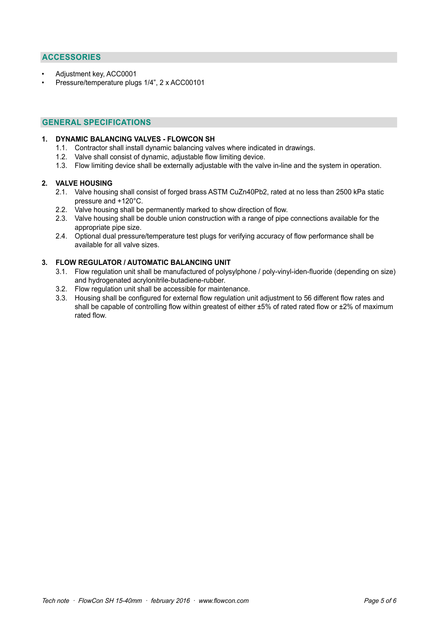# **ACCESSORIES**

- Adjustment key, ACC0001
- Pressure/temperature plugs 1/4", 2 x ACC00101

#### **GENERAL SPECIFICATIONS**

#### **1. DYNAMIC BALANCING VALVES - FLOWCON SH**

- 1.1. Contractor shall install dynamic balancing valves where indicated in drawings.
- 1.2. Valve shall consist of dynamic, adjustable flow limiting device.
- 1.3. Flow limiting device shall be externally adjustable with the valve in-line and the system in operation.

#### **2. VALVE HOUSING**

- 2.1. Valve housing shall consist of forged brass ASTM CuZn40Pb2, rated at no less than 2500 kPa static pressure and +120°C.
- 2.2. Valve housing shall be permanently marked to show direction of flow.
- 2.3. Valve housing shall be double union construction with a range of pipe connections available for the appropriate pipe size.
- 2.4. Optional dual pressure/temperature test plugs for verifying accuracy of flow performance shall be available for all valve sizes.

#### **3. FLOW REGULATOR / AUTOMATIC BALANCING UNIT**

- 3.1. Flow regulation unit shall be manufactured of polysylphone / poly-vinyl-iden-fluoride (depending on size) and hydrogenated acrylonitrile-butadiene-rubber.
- 3.2. Flow regulation unit shall be accessible for maintenance.
- 3.3. Housing shall be configured for external flow regulation unit adjustment to 56 different flow rates and shall be capable of controlling flow within greatest of either ±5% of rated rated flow or ±2% of maximum rated flow.